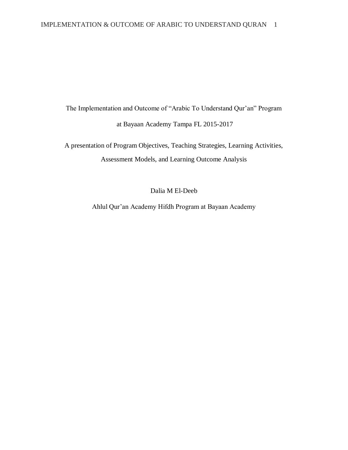The Implementation and Outcome of "Arabic To Understand Qur'an" Program at Bayaan Academy Tampa FL 2015-2017

A presentation of Program Objectives, Teaching Strategies, Learning Activities, Assessment Models, and Learning Outcome Analysis

Dalia M El-Deeb

Ahlul Qur'an Academy Hifdh Program at Bayaan Academy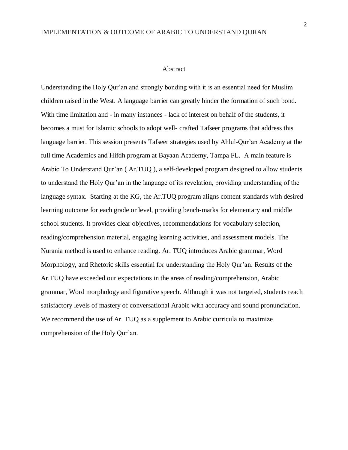#### Abstract

Understanding the Holy Qur'an and strongly bonding with it is an essential need for Muslim children raised in the West. A language barrier can greatly hinder the formation of such bond. With time limitation and - in many instances - lack of interest on behalf of the students, it becomes a must for Islamic schools to adopt well- crafted Tafseer programs that address this language barrier. This session presents Tafseer strategies used by Ahlul-Qur'an Academy at the full time Academics and Hifdh program at Bayaan Academy, Tampa FL. A main feature is Arabic To Understand Qur'an ( Ar.TUQ ), a self-developed program designed to allow students to understand the Holy Qur'an in the language of its revelation, providing understanding of the language syntax. Starting at the KG, the Ar.TUQ program aligns content standards with desired learning outcome for each grade or level, providing bench-marks for elementary and middle school students. It provides clear objectives, recommendations for vocabulary selection, reading/comprehension material, engaging learning activities, and assessment models. The Nurania method is used to enhance reading. Ar. TUQ introduces Arabic grammar, Word Morphology, and Rhetoric skills essential for understanding the Holy Qur'an. Results of the Ar.TUQ have exceeded our expectations in the areas of reading/comprehension, Arabic grammar, Word morphology and figurative speech. Although it was not targeted, students reach satisfactory levels of mastery of conversational Arabic with accuracy and sound pronunciation. We recommend the use of Ar. TUQ as a supplement to Arabic curricula to maximize comprehension of the Holy Qur'an.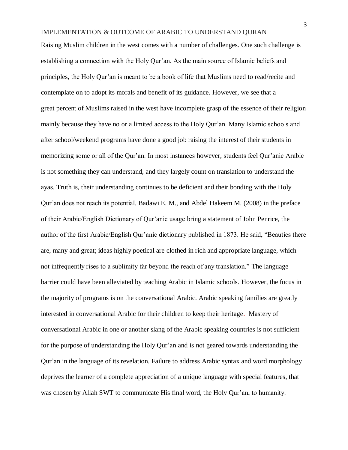Raising Muslim children in the west comes with a number of challenges. One such challenge is establishing a connection with the Holy Qur'an. As the main source of Islamic beliefs and principles, the Holy Qur'an is meant to be a book of life that Muslims need to read/recite and contemplate on to adopt its morals and benefit of its guidance. However, we see that a great percent of Muslims raised in the west have incomplete grasp of the essence of their religion mainly because they have no or a limited access to the Holy Qur'an. Many Islamic schools and after school/weekend programs have done a good job raising the interest of their students in memorizing some or all of the Qur'an. In most instances however, students feel Qur'anic Arabic is not something they can understand, and they largely count on translation to understand the ayas. Truth is, their understanding continues to be deficient and their bonding with the Holy Qur'an does not reach its potential. Badawi E. M., and Abdel Hakeem M. (2008) in the preface of their Arabic/English Dictionary of Qur'anic usage bring a statement of John Penrice, the author of the first Arabic/English Qur'anic dictionary published in 1873. He said, "Beauties there are, many and great; ideas highly poetical are clothed in rich and appropriate language, which not infrequently rises to a sublimity far beyond the reach of any translation." The language barrier could have been alleviated by teaching Arabic in Islamic schools. However, the focus in the majority of programs is on the conversational Arabic. Arabic speaking families are greatly interested in conversational Arabic for their children to keep their heritage. Mastery of conversational Arabic in one or another slang of the Arabic speaking countries is not sufficient for the purpose of understanding the Holy Qur'an and is not geared towards understanding the Qur'an in the language of its revelation. Failure to address Arabic syntax and word morphology deprives the learner of a complete appreciation of a unique language with special features, that was chosen by Allah SWT to communicate His final word, the Holy Qur'an, to humanity.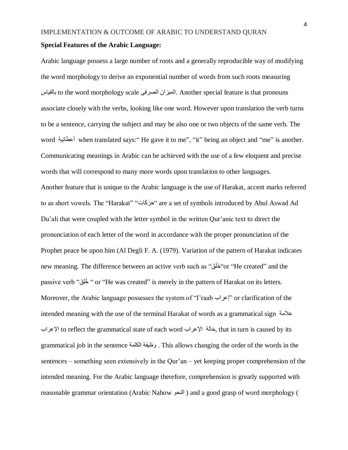#### **Special Features of the Arabic Language:**

Arabic language possess a large number of roots and a generally reproducible way of modifying the word morphology to derive an exponential number of words from such roots measuring بالقياس to the word morphology scale الصرفى الميزان. Another special feature is that pronouns associate closely with the verbs, looking like one word. However upon translation the verb turns to be a sentence, carrying the subject and may be also one or two objects of the same verb. The word أعطَانِيهُ when translated says:" He gave it to me", "it" being an object and "me" is another. Communicating meanings in Arabic can be achieved with the use of a few eloquent and precise words that will correspond to many more words upon translation to other languages. Another feature that is unique to the Arabic language is the use of Harakat, accent marks referred to as short vowels. The ''Harakat'' ''حَرَكَات'' are a set of symbols introduced by Abul Aswad Ad Du'ali that were coupled with the letter symbol in the written Qur'anic text to direct the pronunciation of each letter of the word in accordance with the proper pronunciation of the Prophet peace be upon him (Al Degli F. A. (1979). Variation of the pattern of Harakat indicates new meaning. The difference between an active verb such as "قَ َخلَ" or "He created" and the passive verb " خَلِق" or "He was created" is merely in the pattern of Harakat on its letters. Moreover, the Arabic language possesses the system of "I'raab إعراب "or clarification of the intended meaning with the use of the terminal Harakat of words as a grammatical sign عالمة اإلعراب to reflect the grammatical state of each word اإلعراب حالةَ , that in turn is caused by its grammatical job in the sentence الكلمة وظيفة . This allows changing the order of the words in the sentences – something seen extensively in the Qur'an – yet keeping proper comprehension of the intended meaning. For the Arabic language therefore, comprehension is greatly supported with reasonable grammar orientation (Arabic Nahow النحو ) and a good grasp of word morphology (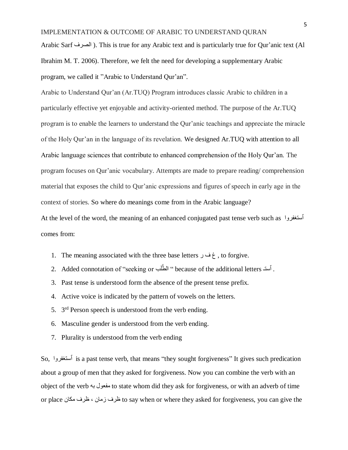Arabic Sarf الصرف( . This is true for any Arabic text and is particularly true for Qur'anic text (Al Ibrahim M. T. 2006). Therefore, we felt the need for developing a supplementary Arabic program, we called it "Arabic to Understand Qur'an".

Arabic to Understand Qur'an (Ar.TUQ) Program introduces classic Arabic to children in a particularly effective yet enjoyable and activity-oriented method. The purpose of the Ar.TUQ program is to enable the learners to understand the Qur'anic teachings and appreciate the miracle of the Holy Qur'an in the language of its revelation. We designed Ar.TUQ with attention to all Arabic language sciences that contribute to enhanced comprehension of the Holy Qur'an. The program focuses on Qur'anic vocabulary. Attempts are made to prepare reading/ comprehension material that exposes the child to Qur'anic expressions and figures of speech in early age in the context of stories. So where do meanings come from in the Arabic language?

At the level of the word, the meaning of an enhanced conjugated past tense verb such as ٱستغفروا comes from:

- 1. The meaning associated with the three base letters ر ف غ , to forgive.
- . Added connotation of ''seeking or ''الطَّلَب because of the additional letters' . أستـ
- 3. Past tense is understood form the absence of the present tense prefix.
- 4. Active voice is indicated by the pattern of vowels on the letters.
- 5.  $3<sup>rd</sup>$  Person speech is understood from the verb ending.
- 6. Masculine gender is understood from the verb ending.
- 7. Plurality is understood from the verb ending

So, ٱستغفروا is a past tense verb, that means "they sought forgiveness" It gives such predication about a group of men that they asked for forgiveness. Now you can combine the verb with an object of the verb به مفعول to state whom did they ask for forgiveness, or with an adverb of time or place مكان ظرف ، زمان ظرف to say when or where they asked for forgiveness, you can give the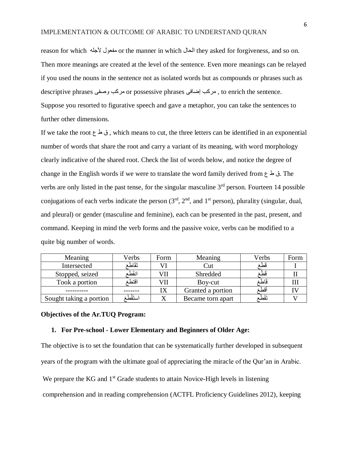reason for which ألجله مفعول or the manner in which الحال they asked for forgiveness, and so on. Then more meanings are created at the level of the sentence. Even more meanings can be relayed if you used the nouns in the sentence not as isolated words but as compounds or phrases such as descriptive phrases وصفى مركب or possessive phrases إضافى مركب , to enrich the sentence. Suppose you resorted to figurative speech and gave a metaphor, you can take the sentences to further other dimensions.

If we take the root ع ط ق , which means to cut, the three letters can be identified in an exponential number of words that share the root and carry a variant of its meaning, with word morphology clearly indicative of the shared root. Check the list of words below, and notice the degree of change in the English words if we were to translate the word family derived from  $\epsilon$   $\geq$  3. The verbs are only listed in the past tense, for the singular masculine 3<sup>rd</sup> person. Fourteen 14 possible conjugations of each verbs indicate the person  $(3<sup>rd</sup>, 2<sup>nd</sup>,$  and  $1<sup>st</sup>$  person), plurality (singular, dual, and pleural) or gender (masculine and feminine), each can be presented in the past, present, and command. Keeping in mind the verb forms and the passive voice, verbs can be modified to a quite big number of words.

| Meaning                 | Verbs      | Form | Meaning           | Verbs    | Form |
|-------------------------|------------|------|-------------------|----------|------|
| Intersected             | تَقَاطُ    |      | ∪ut               | فطغ      |      |
| Stopped, seized         | انقُط      | VII  | Shredded          | ىط       |      |
| Took a portion          | اقتطع      |      | Boy-cut           | فاطة     |      |
|                         |            |      | Granted a portion | اقطة     |      |
| Sought taking a portion | استَقْطَعَ |      | Became torn apart | تَقَطُّع |      |

#### **Objectives of the Ar.TUQ Program:**

#### **1. For Pre-school - Lower Elementary and Beginners of Older Age:**

The objective is to set the foundation that can be systematically further developed in subsequent years of the program with the ultimate goal of appreciating the miracle of the Qur'an in Arabic.

We prepare the KG and  $1<sup>st</sup>$  Grade students to attain Novice-High levels in listening

comprehension and in reading comprehension (ACTFL Proficiency Guidelines 2012), keeping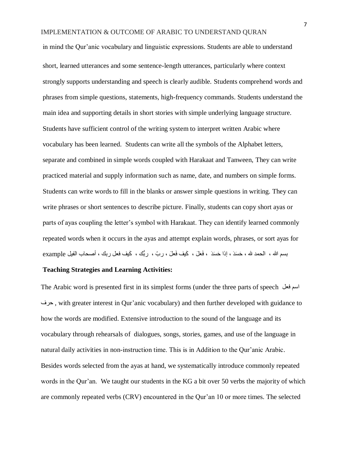in mind the Qur'anic vocabulary and linguistic expressions. Students are able to understand short, learned utterances and some sentence-length utterances, particularly where context strongly supports understanding and speech is clearly audible. Students comprehend words and phrases from simple questions, statements, high-frequency commands. Students understand the main idea and supporting details in short stories with simple underlying language structure. Students have sufficient control of the writing system to interpret written Arabic where vocabulary has been learned. Students can write all the symbols of the Alphabet letters, separate and combined in simple words coupled with Harakaat and Tanween, They can write practiced material and supply information such as name, date, and numbers on simple forms. Students can write words to fill in the blanks or answer simple questions in writing. They can write phrases or short sentences to describe picture. Finally, students can copy short ayas or parts of ayas coupling the letter's symbol with Harakaat. They can identify learned commonly repeated words when it occurs in the ayas and attempt explain words, phrases, or sort ayas for بسم الله ، الحمد لله ، حَسَدَ ، إذا حَسَدَ ، فَعَلَ ، كَيف فَعلَ ، ربّ ، ربُّك ، كَيف فعل ربك ، أصـحاب الفيل example

## **Teaching Strategies and Learning Activities:**

The Arabic word is presented first in its simplest forms (under the three parts of speech فعل اسم حرف , with greater interest in Qur'anic vocabulary) and then further developed with guidance to how the words are modified. Extensive introduction to the sound of the language and its vocabulary through rehearsals of dialogues, songs, stories, games, and use of the language in natural daily activities in non-instruction time. This is in Addition to the Qur'anic Arabic. Besides words selected from the ayas at hand, we systematically introduce commonly repeated words in the Qur'an. We taught our students in the KG a bit over 50 verbs the majority of which are commonly repeated verbs (CRV) encountered in the Qur'an 10 or more times. The selected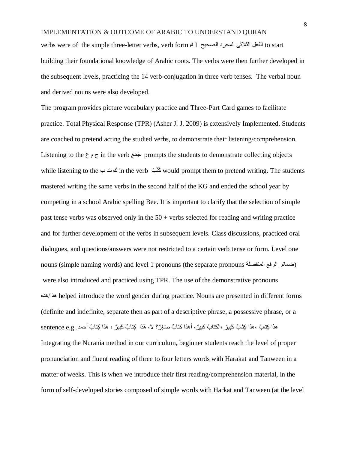# IMPLEMENTATION & OUTCOME OF ARABIC TO UNDERSTAND QURAN verbs were of the simple three-letter verbs, verb form # I الصحيح المجرد الثالثى الفعل to start building their foundational knowledge of Arabic roots. The verbs were then further developed in

the subsequent levels, practicing the 14 verb-conjugation in three verb tenses. The verbal noun and derived nouns were also developed.

The program provides picture vocabulary practice and Three-Part Card games to facilitate practice. Total Physical Response (TPR) (Asher J. J. 2009) is extensively Implemented. Students are coached to pretend acting the studied verbs, to demonstrate their listening/comprehension. Listening to the  $\zeta$   $\zeta$  in the verb  $\zeta$  and  $\zeta$  is prompts the students to demonstrate collecting objects while listening to the لَك ت ب in the verb بَكَتَ would prompt them to pretend writing. The students mastered writing the same verbs in the second half of the KG and ended the school year by competing in a school Arabic spelling Bee. It is important to clarify that the selection of simple past tense verbs was observed only in the  $50 +$  verbs selected for reading and writing practice and for further development of the verbs in subsequent levels. Class discussions, practiced oral dialogues, and questions/answers were not restricted to a certain verb tense or form. Level one nouns (simple naming words) and level 1 pronouns (the separate pronouns المنفصلة الرفع ضمائر) were also introduced and practiced using TPR. The use of the demonstrative pronouns هذه/هذا helped introduce the word gender during practice. Nouns are presented in different forms (definite and indefinite, separate then as part of a descriptive phrase, a possessive phrase, or a هذا كِتابٌ ،هذا كِتَابٌ كَبيرٌ ،الكتابُ كبيرٌ ، أهذا كتابٌ صَغِرٌ ؟ لا، هَذا ِكِتابٌ كَبيرٌ ، هذا كِتابُ أحمد Integrating the Nurania method in our curriculum, beginner students reach the level of proper pronunciation and fluent reading of three to four letters words with Harakat and Tanween in a matter of weeks. This is when we introduce their first reading/comprehension material, in the form of self-developed stories composed of simple words with Harkat and Tanween (at the level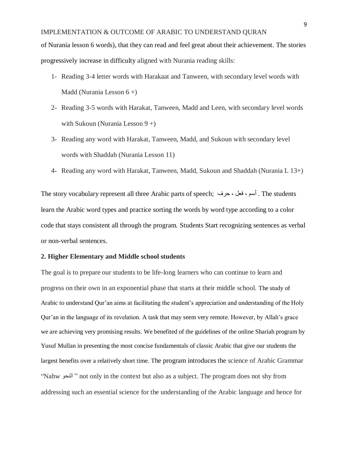of Nurania lesson 6 words), that they can read and feel great about their achievement. The stories progressively increase in difficulty aligned with Nurania reading skills:

- 1- Reading 3-4 letter words with Harakaat and Tanween, with secondary level words with Madd (Nurania Lesson 6 +)
- 2- Reading 3-5 words with Harakat, Tanween, Madd and Leen, with secondary level words with Sukoun (Nurania Lesson 9 +)
- 3- Reading any word with Harakat, Tanween, Madd, and Sukoun with secondary level words with Shaddah (Nurania Lesson 11)
- 4- Reading any word with Harakat, Tanween, Madd, Sukoun and Shaddah (Nurania L 13+)

The story vocabulary represent all three Arabic parts of speech; أسم ، فعل ، حرف .The students learn the Arabic word types and practice sorting the words by word type according to a color code that stays consistent all through the program. Students Start recognizing sentences as verbal or non-verbal sentences.

### **2. Higher Elementary and Middle school students**

The goal is to prepare our students to be life-long learners who can continue to learn and progress on their own in an exponential phase that starts at their middle school. The study of Arabic to understand Qur'an aims at facilitating the student's appreciation and understanding of the Holy Qur'an in the language of its revelation. A task that may seem very remote. However, by Allah's grace we are achieving very promising results. We benefited of the guidelines of the online Shariah program by Yusuf Mullan in presenting the most concise fundamentals of classic Arabic that give our students the largest benefits over a relatively short time. The program introduces the science of Arabic Grammar "Nahw النحو " not only in the context but also as a subject. The program does not shy from addressing such an essential science for the understanding of the Arabic language and hence for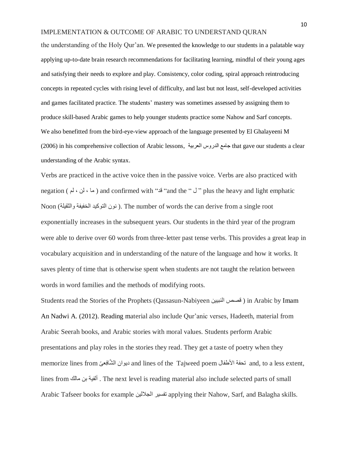the understanding of the Holy Qur'an. We presented the knowledge to our students in a palatable way applying up-to-date brain research recommendations for facilitating learning, mindful of their young ages and satisfying their needs to explore and play. Consistency, color coding, spiral approach reintroducing concepts in repeated cycles with rising level of difficulty, and last but not least, self-developed activities and games facilitated practice. The students' mastery was sometimes assessed by assigning them to produce skill-based Arabic games to help younger students practice some Nahow and Sarf concepts. We also benefitted from the bird-eye-view approach of the language presented by El Ghalayeeni M (2006) in his comprehensive collection of Arabic lessons, العربية الدروس جامع that gave our students a clear understanding of the Arabic syntax.

Verbs are practiced in the active voice then in the passive voice. Verbs are also practiced with negation ( لم ، لن ، ما ( and confirmed with "قد" and the " ل " plus the heavy and light emphatic Noon (نون التوكيد الخفيفة والثقيلة ). The number of words the can derive from a single root exponentially increases in the subsequent years. Our students in the third year of the program were able to derive over 60 words from three-letter past tense verbs. This provides a great leap in vocabulary acquisition and in understanding of the nature of the language and how it works. It saves plenty of time that is otherwise spent when students are not taught the relation between words in word families and the methods of modifying roots.

Students read the Stories of the Prophets (Qassasun-Nabiyeen النبيين قصص ( in Arabic by Imam An Nadwi A. (2012). Reading material also include Qur'anic verses, Hadeeth, material from Arabic Seerah books, and Arabic stories with moral values. Students perform Arabic presentations and play roles in the stories they read. They get a taste of poetry when they memorize lines from ديوان الشَّافِعيّ and lines of the Tajweed poem المنظمة and, to a less extent, lines from مالك بن ألفية . The next level is reading material also include selected parts of small Arabic Tafseer books for example الجاللين تفسير applying their Nahow, Sarf, and Balagha skills.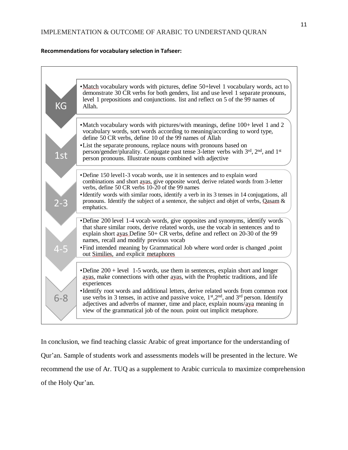#### **Recommendations for vocabulary selection in Tafseer:**



In conclusion, we find teaching classic Arabic of great importance for the understanding of Qur'an. Sample of students work and assessments models will be presented in the lecture. We recommend the use of Ar. TUQ as a supplement to Arabic curricula to maximize comprehension of the Holy Qur'an.